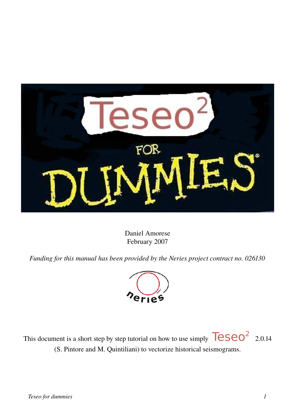

Daniel Amorese February 2007

*Funding for this manual has been provided by the Neries project contract no. 026130*



This document is a short step by step tutorial on how to use simply  $\sqrt{118.66}$  2.0.14 (S. Pintore and M. Quintiliani) to vectorize historical seismograms.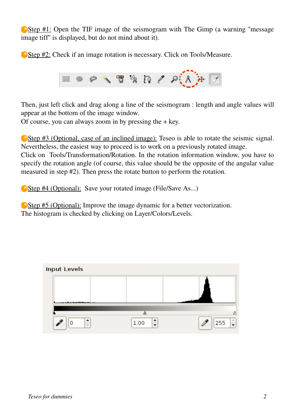Step #1: Open the TIF image of the seismogram with The Gimp (a warning "message") image tiff'' is displayed, but do not mind about it).

Step #2: Check if an image rotation is necessary. Click on Tools/Measure.



Then, just left click and drag along a line of the seismogram : length and angle values will appear at the bottom of the image window.

Of course, you can always zoom in by pressing the  $+$  key.

Step #3 (Optional, case of an inclined image): Teseo is able to rotate the seismic signal. Nevertheless, the easiest way to proceed is to work on a previously rotated image.

Click on Tools/Transformation/Rotation. In the rotation information window, you have to specify the rotation angle (of course, this value should be the opposite of the angular value measured in step #2). Then press the rotate button to perform the rotation.

Step #4 (Optional): Save your rotated image (File/Save As...)

Step #5 (Optional): Improve the image dynamic for a better vectorization. The histogram is checked by clicking on Layer/Colors/Levels.

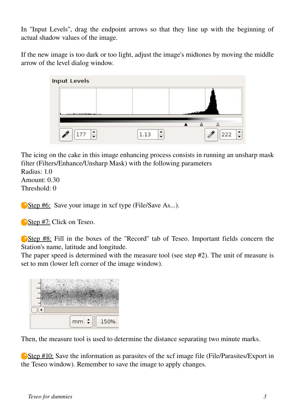In ''Input Levels'', drag the endpoint arrows so that they line up with the beginning of actual shadow values of the image.

If the new image is too dark or too light, adjust the image's midtones by moving the middle arrow of the level dialog window.



The icing on the cake in this image enhancing process consists in running an unsharp mask filter (Filters/Enhance/Unsharp Mask) with the following parameters

Radius: 1.0 Amount: 0.30 Threshold $\cdot$  0

Step #6: Save your image in xcf type (File/Save As...).

Step #7: Click on Teseo.

Step #8: Fill in the boxes of the "Record" tab of Teseo. Important fields concern the Station's name, latitude and longitude.

The paper speed is determined with the measure tool (see step #2). The unit of measure is set to mm (lower left corner of the image window).



Then, the measure tool is used to determine the distance separating two minute marks.

Step #10: Save the information as parasites of the xcf image file (File/Parasites/Export in the Teseo window). Remember to save the image to apply changes.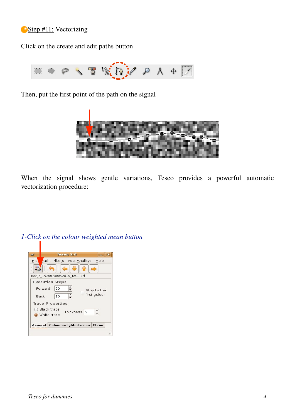## Step #11: Vectorizing

Click on the create and edit paths button



Then, put the first point of the path on the signal



When the signal shows gentle variations, Teseo provides a powerful automatic vectorization procedure:

|                                   | Teseo 2.0                       |                    |                    |             |
|-----------------------------------|---------------------------------|--------------------|--------------------|-------------|
| File                              | eath Filters Post Analisys Help |                    |                    |             |
|                                   |                                 |                    |                    |             |
| RAV E 1926073005281A TAGL.xcf     |                                 |                    |                    |             |
| <b>Execution Steps</b>            |                                 |                    |                    |             |
| Forward                           | 50                              | ∶                  |                    | Stop to the |
| Back                              | 10                              | $\hat{\mathbf{z}}$ | $\Box$ first guide |             |
| <b>Trace Properties</b>           |                                 |                    |                    |             |
| <b>Black trace</b><br>White trace |                                 | Thickness 5        |                    | $\div$      |

*1-Click on the colour weighted mean button*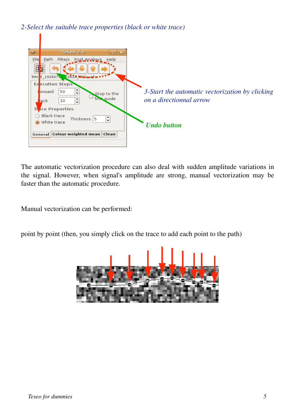*2-Select the suitable trace properties (black or white trace)*



The automatic vectorization procedure can also deal with sudden amplitude variations in the signal. However, when signal's amplitude are strong, manual vectorization may be faster than the automatic procedure.

Manual vectorization can be performed:

point by point (then, you simply click on the trace to add each point to the path)

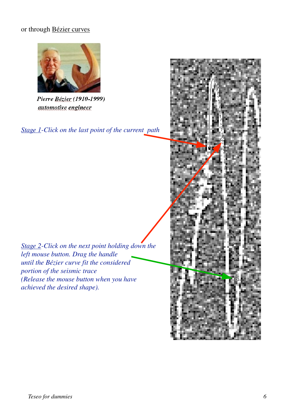## or through Bézier curves



Pierre Bézier (1910-1999) automotive engineer

*Stage 1-Click on the last point of the current path*

*Stage 2-Click on the next point holding down the left mouse button. Drag the handle until the Bézier curve fit the considered portion of the seismic trace (Release the mouse button when you have achieved the desired shape).*

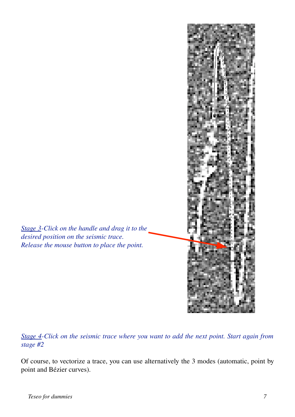

*Stage 4-Click on the seismic trace where you want to add the next point. Start again from stage #2*

Of course, to vectorize a trace, you can use alternatively the 3 modes (automatic, point by point and Bézier curves).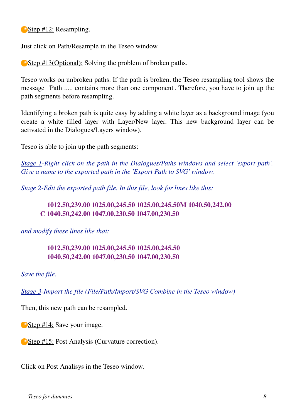Step #12: Resampling.

Just click on Path/Resample in the Teseo window.

Step #13(Optional): Solving the problem of broken paths.

Teseo works on unbroken paths. If the path is broken, the Teseo resampling tool shows the message 'Path ..... contains more than one component'. Therefore, you have to join up the path segments before resampling.

Identifying a broken path is quite easy by adding a white layer as a background image (you create a white filled layer with Layer/New layer. This new background layer can be activated in the Dialogues/Layers window).

Teseo is able to join up the path segments:

*Stage 1-Right click on the path in the Dialogues/Paths windows and select 'export path'. Give a name to the exported path in the 'Export Path to SVG' window.*

*Stage 2-Edit the exported path file. In this file, look for lines like this:*

## 1012.50,239.00 1025.00,245.50 1025.00,245.50M 1040.50,242.00 C 1040.50,242.00 1047.00,230.50 1047.00,230.50

*and modify these lines like that:*

## 1012.50,239.00 1025.00,245.50 1025.00,245.50 1040.50,242.00 1047.00,230.50 1047.00,230.50

*Save the file.*

*Stage 3-Import the file (File/Path/Import/SVG Combine in the Teseo window)*

Then, this new path can be resampled.

Step #14: Save your image.

Step #15: Post Analysis (Curvature correction).

Click on Post Analisys in the Teseo window.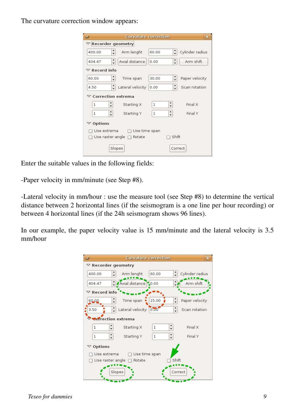The curvature correction window appears:

|                      | $\triangledown$ Recorder geometry  |                                               |                 |
|----------------------|------------------------------------|-----------------------------------------------|-----------------|
| 400.00               | Arm lenght                         | 60.00                                         | Cylinder radius |
| 404.47               | $\hat{\cdot}$<br>Axial distance    | $\hat{\cdot}$<br>0.00                         | Arm shift       |
| $\nabla$ Record info |                                    |                                               |                 |
| 60.00                | $\hat{\cdot}$<br>Time span         | $\hat{\cdot}$<br>30.00                        | Paper velocity  |
| 4.50                 | Lateral velocity                   | 0.00                                          | Scan rotation   |
|                      | $\triangledown$ Correction extrema |                                               |                 |
| 1                    | $\ddot{\phantom{1}}$<br>Starting X | $\hat{\cdot}$<br>1                            | Final X         |
| $\mathbf{1}$         | ٠<br>Starting Y<br>$\ddot{}$       | ٠<br>$\mathbf{1}$<br>$\overline{\phantom{0}}$ | Final Y         |
| Options<br>▽         |                                    |                                               |                 |
| Use extrema          |                                    | Use time span                                 |                 |
| Use raster angle     | Rotate                             | Shift                                         |                 |
|                      | Slopes                             |                                               | Correct         |

Enter the suitable values in the following fields:

-Paper velocity in mm/minute (see Step #8).

-Lateral velocity in mm/hour : use the measure tool (see Step #8) to determine the vertical distance between 2 horizontal lines (if the seismogram is a one line per hour recording) or between 4 horizontal lines (if the 24h seismogram shows 96 lines).

In our example, the paper velocity value is 15 mm/minute and the lateral velocity is 3.5 mm/hour

|                                            |                     | <b>Curvature correction</b>                   | ж               |  |  |  |  |
|--------------------------------------------|---------------------|-----------------------------------------------|-----------------|--|--|--|--|
| $\nabla$ Recorder geometry                 |                     |                                               |                 |  |  |  |  |
| $\hat{\cdot}$<br>400.00                    | Arm lenght          | 60.00                                         | Cylinder radius |  |  |  |  |
| $\hat{\cdot}$<br>404.47                    | Axial distance 0.00 |                                               | Arm shift       |  |  |  |  |
| $\nabla$ Record info                       |                     |                                               |                 |  |  |  |  |
| 60.00<br>$\overline{\phantom{0}}$          | Time span           | 15.00                                         | Paper velocity  |  |  |  |  |
| $\hat{\cdot}$<br>3.50                      | Lateral velocity    | 0.00                                          | Scan rotation   |  |  |  |  |
| <b>Cor</b> rection extrema                 |                     |                                               |                 |  |  |  |  |
| ı<br>$\ddot{\phantom{0}}$                  | Starting X          | ▲<br>$\mathbf{1}$<br>$\overline{\phantom{0}}$ | Final X         |  |  |  |  |
| $\hat{\cdot}$<br>1                         | Starting Y          | $\frac{1}{\bullet}$<br>1                      | Final Y         |  |  |  |  |
| Options<br>▽                               |                     |                                               |                 |  |  |  |  |
| Use extrema<br>Use time span               |                     |                                               |                 |  |  |  |  |
| Shift<br>Use raster angle $\Box$<br>Rotate |                     |                                               |                 |  |  |  |  |
|                                            | Slopes              |                                               | Correct         |  |  |  |  |
|                                            |                     |                                               |                 |  |  |  |  |